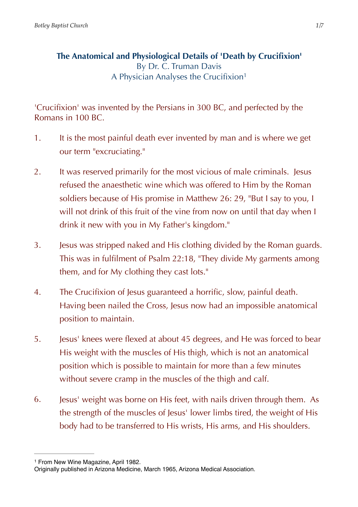<span id="page-0-1"></span>**The Anatomical and Physiological Details of 'Death by Crucifixion'**  By Dr. C. Truman Davis A Physician Analyses the Crucifixion[1](#page-0-0)

'Crucifixion' was invented by the Persians in 300 BC, and perfected by the Romans in 100 BC.

- 1. It is the most painful death ever invented by man and is where we get our term "excruciating."
- 2. It was reserved primarily for the most vicious of male criminals. Jesus refused the anaesthetic wine which was offered to Him by the Roman soldiers because of His promise in Matthew 26: 29, "But I say to you, I will not drink of this fruit of the vine from now on until that day when I drink it new with you in My Father's kingdom."
- 3. Jesus was stripped naked and His clothing divided by the Roman guards. This was in fulfilment of Psalm 22:18, "They divide My garments among them, and for My clothing they cast lots."
- 4. The Crucifixion of Jesus guaranteed a horrific, slow, painful death. Having been nailed the Cross, Jesus now had an impossible anatomical position to maintain.
- 5. Jesus' knees were flexed at about 45 degrees, and He was forced to bear His weight with the muscles of His thigh, which is not an anatomical position which is possible to maintain for more than a few minutes without severe cramp in the muscles of the thigh and calf.
- 6. Jesus' weight was borne on His feet, with nails driven through them. As the strength of the muscles of Jesus' lower limbs tired, the weight of His body had to be transferred to His wrists, His arms, and His shoulders.

<span id="page-0-0"></span><sup>&</sup>lt;sup>[1](#page-0-1)</sup> From New Wine Magazine, April 1982.

Originally published in Arizona Medicine, March 1965, Arizona Medical Association.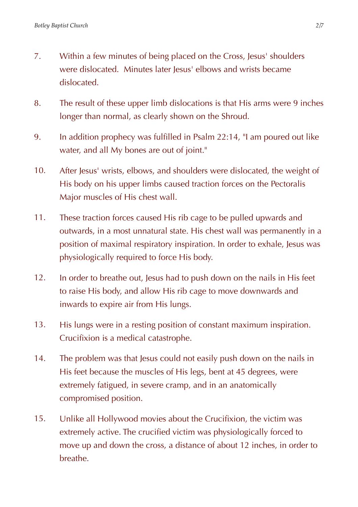- 7. Within a few minutes of being placed on the Cross, Jesus' shoulders were dislocated. Minutes later lesus' elbows and wrists became dislocated.
- 8. The result of these upper limb dislocations is that His arms were 9 inches longer than normal, as clearly shown on the Shroud.
- 9. In addition prophecy was fulfilled in Psalm 22:14, "I am poured out like water, and all My bones are out of joint."
- 10. After Jesus' wrists, elbows, and shoulders were dislocated, the weight of His body on his upper limbs caused traction forces on the Pectoralis Major muscles of His chest wall.
- 11. These traction forces caused His rib cage to be pulled upwards and outwards, in a most unnatural state. His chest wall was permanently in a position of maximal respiratory inspiration. In order to exhale, Jesus was physiologically required to force His body.
- 12. In order to breathe out, Jesus had to push down on the nails in His feet to raise His body, and allow His rib cage to move downwards and inwards to expire air from His lungs.
- 13. His lungs were in a resting position of constant maximum inspiration. Crucifixion is a medical catastrophe.
- 14. The problem was that Jesus could not easily push down on the nails in His feet because the muscles of His legs, bent at 45 degrees, were extremely fatigued, in severe cramp, and in an anatomically compromised position.
- 15. Unlike all Hollywood movies about the Crucifixion, the victim was extremely active. The crucified victim was physiologically forced to move up and down the cross, a distance of about 12 inches, in order to breathe.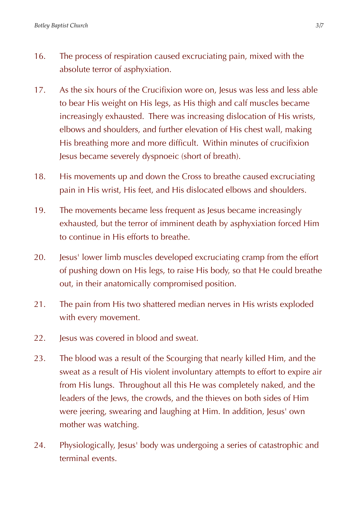- 16. The process of respiration caused excruciating pain, mixed with the absolute terror of asphyxiation.
- 17. As the six hours of the Crucifixion wore on, Jesus was less and less able to bear His weight on His legs, as His thigh and calf muscles became increasingly exhausted. There was increasing dislocation of His wrists, elbows and shoulders, and further elevation of His chest wall, making His breathing more and more difficult. Within minutes of crucifixion Jesus became severely dyspnoeic (short of breath).
- 18. His movements up and down the Cross to breathe caused excruciating pain in His wrist, His feet, and His dislocated elbows and shoulders.
- 19. The movements became less frequent as Jesus became increasingly exhausted, but the terror of imminent death by asphyxiation forced Him to continue in His efforts to breathe.
- 20. Jesus' lower limb muscles developed excruciating cramp from the effort of pushing down on His legs, to raise His body, so that He could breathe out, in their anatomically compromised position.
- 21. The pain from His two shattered median nerves in His wrists exploded with every movement.
- 22. **Jesus was covered in blood and sweat.**
- 23. The blood was a result of the Scourging that nearly killed Him, and the sweat as a result of His violent involuntary attempts to effort to expire air from His lungs. Throughout all this He was completely naked, and the leaders of the Jews, the crowds, and the thieves on both sides of Him were jeering, swearing and laughing at Him. In addition, Jesus' own mother was watching.
- 24. Physiologically, Jesus' body was undergoing a series of catastrophic and terminal events.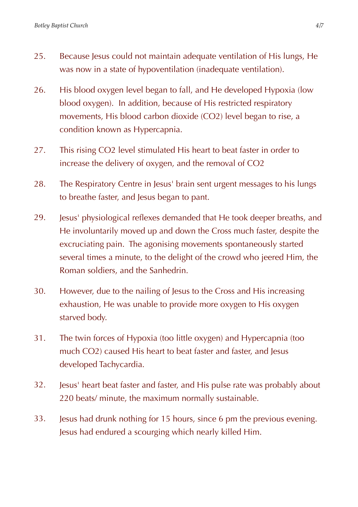- 25. Because Jesus could not maintain adequate ventilation of His lungs, He was now in a state of hypoventilation (inadequate ventilation).
- 26. His blood oxygen level began to fall, and He developed Hypoxia (low blood oxygen). In addition, because of His restricted respiratory movements, His blood carbon dioxide (CO2) level began to rise, a condition known as Hypercapnia.
- 27. This rising CO2 level stimulated His heart to beat faster in order to increase the delivery of oxygen, and the removal of CO2
- 28. The Respiratory Centre in Jesus' brain sent urgent messages to his lungs to breathe faster, and Jesus began to pant.
- 29. Jesus' physiological reflexes demanded that He took deeper breaths, and He involuntarily moved up and down the Cross much faster, despite the excruciating pain. The agonising movements spontaneously started several times a minute, to the delight of the crowd who jeered Him, the Roman soldiers, and the Sanhedrin.
- 30. However, due to the nailing of Jesus to the Cross and His increasing exhaustion, He was unable to provide more oxygen to His oxygen starved body.
- 31. The twin forces of Hypoxia (too little oxygen) and Hypercapnia (too much CO2) caused His heart to beat faster and faster, and Jesus developed Tachycardia.
- 32. Jesus' heart beat faster and faster, and His pulse rate was probably about 220 beats/ minute, the maximum normally sustainable.
- 33. Jesus had drunk nothing for 15 hours, since 6 pm the previous evening. Jesus had endured a scourging which nearly killed Him.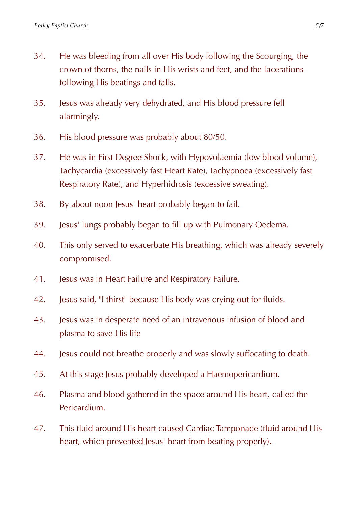- 34. He was bleeding from all over His body following the Scourging, the crown of thorns, the nails in His wrists and feet, and the lacerations following His beatings and falls.
- 35. Jesus was already very dehydrated, and His blood pressure fell alarmingly.
- 36. His blood pressure was probably about 80/50.
- 37. He was in First Degree Shock, with Hypovolaemia (low blood volume), Tachycardia (excessively fast Heart Rate), Tachypnoea (excessively fast Respiratory Rate), and Hyperhidrosis (excessive sweating).
- 38. By about noon Jesus' heart probably began to fail.
- 39. Jesus' lungs probably began to fill up with Pulmonary Oedema.
- 40. This only served to exacerbate His breathing, which was already severely compromised.
- 41. Jesus was in Heart Failure and Respiratory Failure.
- 42. Jesus said, "I thirst" because His body was crying out for fluids.
- 43. Jesus was in desperate need of an intravenous infusion of blood and plasma to save His life
- 44. Jesus could not breathe properly and was slowly suffocating to death.
- 45. At this stage Jesus probably developed a Haemopericardium.
- 46. Plasma and blood gathered in the space around His heart, called the Pericardium.
- 47. This fluid around His heart caused Cardiac Tamponade (fluid around His heart, which prevented Jesus' heart from beating properly).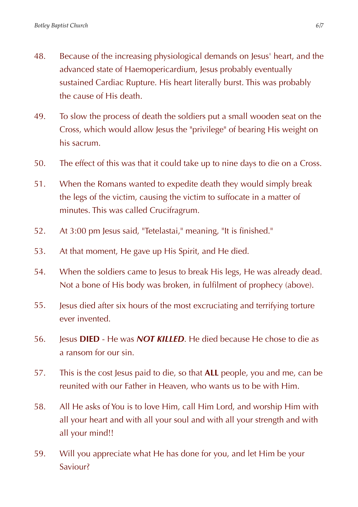- 48. Because of the increasing physiological demands on Jesus' heart, and the advanced state of Haemopericardium, Jesus probably eventually sustained Cardiac Rupture. His heart literally burst. This was probably the cause of His death.
- 49. To slow the process of death the soldiers put a small wooden seat on the Cross, which would allow Jesus the "privilege" of bearing His weight on his sacrum.
- 50. The effect of this was that it could take up to nine days to die on a Cross.
- 51. When the Romans wanted to expedite death they would simply break the legs of the victim, causing the victim to suffocate in a matter of minutes. This was called Crucifragrum.
- 52. At 3:00 pm Jesus said, "Tetelastai," meaning, "It is finished."
- 53. At that moment, He gave up His Spirit, and He died.
- 54. When the soldiers came to Jesus to break His legs, He was already dead. Not a bone of His body was broken, in fulfilment of prophecy (above).
- 55. Jesus died after six hours of the most excruciating and terrifying torture ever invented.
- 56. Jesus **DIED** He was *NOT KILLED*. He died because He chose to die as a ransom for our sin.
- 57. This is the cost Jesus paid to die, so that **ALL** people, you and me, can be reunited with our Father in Heaven, who wants us to be with Him.
- 58. All He asks of You is to love Him, call Him Lord, and worship Him with all your heart and with all your soul and with all your strength and with all your mind!!
- 59. Will you appreciate what He has done for you, and let Him be your Saviour?